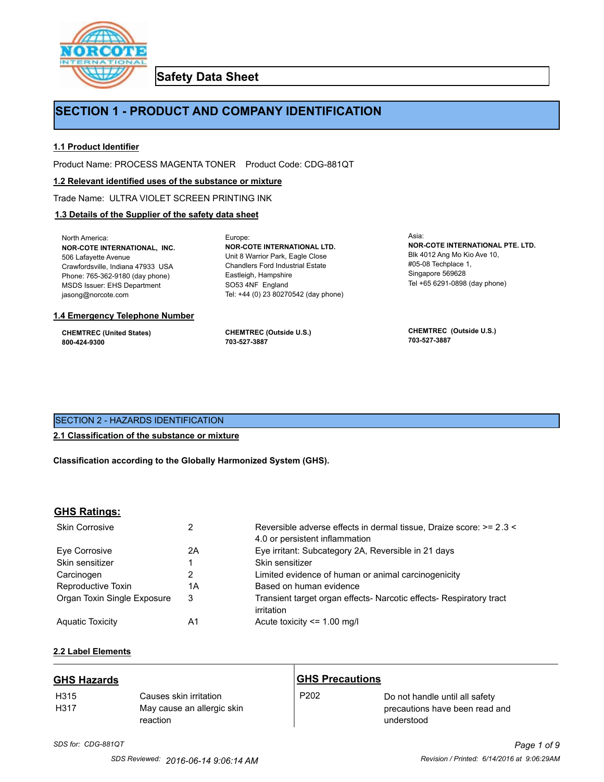

**Safety Data Sheet**

# **SECTION 1 - PRODUCT AND COMPANY IDENTIFICATION**

Europe:

# **1.1 Product Identifier**

Product Name: PROCESS MAGENTA TONER Product Code: CDG-881QT

# **1.2 Relevant identified uses of the substance or mixture**

Trade Name: ULTRA VIOLET SCREEN PRINTING INK

# **1.3 Details of the Supplier of the safety data sheet**

North America: **NOR-COTE INTERNATIONAL, INC.** 506 Lafayette Avenue Crawfordsville, Indiana 47933 USA Phone: 765-362-9180 (day phone) MSDS Issuer: EHS Department jasong@norcote.com

#### **1.4 Emergency Telephone Number**

**CHEMTREC (United States) 800-424-9300**

**CHEMTREC (Outside U.S.) 703-527-3887**

Eastleigh, Hampshire SO53 4NF England

**NOR-COTE INTERNATIONAL LTD.** Unit 8 Warrior Park, Eagle Close Chandlers Ford Industrial Estate

Tel: +44 (0) 23 80270542 (day phone)

Asia: **NOR-COTE INTERNATIONAL PTE. LTD.** Blk 4012 Ang Mo Kio Ave 10, #05-08 Techplace 1, Singapore 569628 Tel +65 6291-0898 (day phone)

**CHEMTREC (Outside U.S.) 703-527-3887**

# SECTION 2 - HAZARDS IDENTIFICATION

# **2.1 Classification of the substance or mixture**

**Classification according to the Globally Harmonized System (GHS).**

# **GHS Ratings:**

| <b>Skin Corrosive</b>       | 2  | Reversible adverse effects in dermal tissue, Draize score: >= 2.3 <<br>4.0 or persistent inflammation |
|-----------------------------|----|-------------------------------------------------------------------------------------------------------|
| Eve Corrosive               | 2Α | Eye irritant: Subcategory 2A, Reversible in 21 days                                                   |
| Skin sensitizer             |    | Skin sensitizer                                                                                       |
| Carcinogen                  | 2  | Limited evidence of human or animal carcinogenicity                                                   |
| Reproductive Toxin          | 1Α | Based on human evidence                                                                               |
| Organ Toxin Single Exposure | 3  | Transient target organ effects- Narcotic effects- Respiratory tract<br>irritation                     |
| <b>Aguatic Toxicity</b>     | A1 | Acute toxicity <= 1.00 mg/l                                                                           |

# **2.2 Label Elements**

| <b>GHS Hazards</b> |                                                                  | <b>GHS Precautions</b> |                                                                                |
|--------------------|------------------------------------------------------------------|------------------------|--------------------------------------------------------------------------------|
| H315<br>H317       | Causes skin irritation<br>May cause an allergic skin<br>reaction | P <sub>202</sub>       | Do not handle until all safety<br>precautions have been read and<br>understood |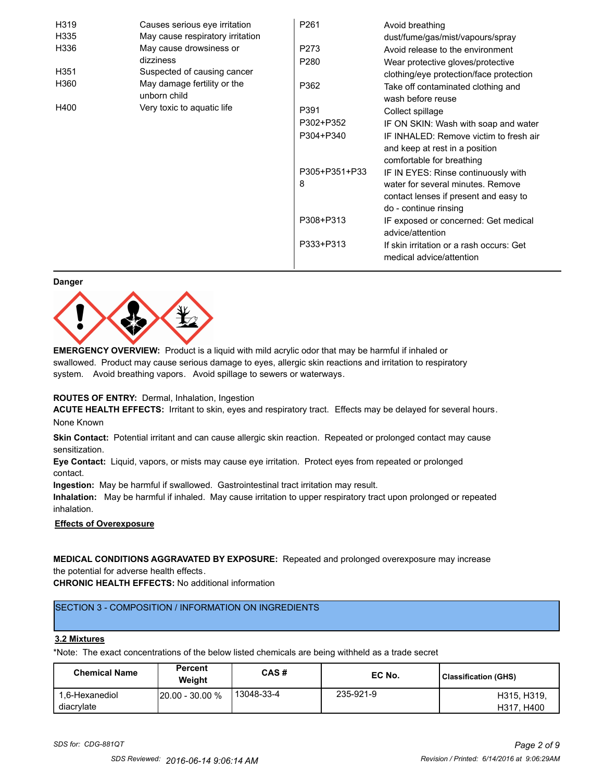| H319 | Causes serious eye irritation               | P261             | Avoid breathing                                                                                       |
|------|---------------------------------------------|------------------|-------------------------------------------------------------------------------------------------------|
| H335 | May cause respiratory irritation            |                  | dust/fume/gas/mist/vapours/spray                                                                      |
| H336 | May cause drowsiness or                     | P273             | Avoid release to the environment                                                                      |
|      | dizziness                                   | P <sub>280</sub> | Wear protective gloves/protective                                                                     |
| H351 | Suspected of causing cancer                 |                  | clothing/eye protection/face protection                                                               |
| H360 | May damage fertility or the<br>unborn child | P362             | Take off contaminated clothing and<br>wash before reuse                                               |
| H400 | Very toxic to aquatic life                  | P391             | Collect spillage                                                                                      |
|      |                                             | P302+P352        | IF ON SKIN: Wash with soap and water                                                                  |
|      |                                             | P304+P340        | IF INHALED: Remove victim to fresh air<br>and keep at rest in a position<br>comfortable for breathing |
|      |                                             | P305+P351+P33    | IF IN EYES: Rinse continuously with                                                                   |
|      |                                             | 8                | water for several minutes. Remove<br>contact lenses if present and easy to<br>do - continue rinsing   |
|      |                                             | P308+P313        | IF exposed or concerned: Get medical<br>advice/attention                                              |
|      |                                             | P333+P313        | If skin irritation or a rash occurs: Get<br>medical advice/attention                                  |

#### **Danger**



**EMERGENCY OVERVIEW:** Product is a liquid with mild acrylic odor that may be harmful if inhaled or swallowed. Product may cause serious damage to eyes, allergic skin reactions and irritation to respiratory system. Avoid breathing vapors. Avoid spillage to sewers or waterways.

# **ROUTES OF ENTRY:** Dermal, Inhalation, Ingestion

**ACUTE HEALTH EFFECTS:** Irritant to skin, eyes and respiratory tract. Effects may be delayed for several hours. None Known

**Skin Contact:** Potential irritant and can cause allergic skin reaction. Repeated or prolonged contact may cause sensitization.

**Eye Contact:** Liquid, vapors, or mists may cause eye irritation. Protect eyes from repeated or prolonged contact.

**Ingestion:** May be harmful if swallowed. Gastrointestinal tract irritation may result.

**Inhalation:** May be harmful if inhaled. May cause irritation to upper respiratory tract upon prolonged or repeated inhalation.

# **Effects of Overexposure**

**MEDICAL CONDITIONS AGGRAVATED BY EXPOSURE:** Repeated and prolonged overexposure may increase the potential for adverse health effects.

**CHRONIC HEALTH EFFECTS:** No additional information

# SECTION 3 - COMPOSITION / INFORMATION ON INGREDIENTS

# **3.2 Mixtures**

\*Note: The exact concentrations of the below listed chemicals are being withheld as a trade secret

| <b>Chemical Name</b>         | Percent<br>Weight      | CAS#       | EC No.    | <b>Classification (GHS)</b> |
|------------------------------|------------------------|------------|-----------|-----------------------------|
| 1.6-Hexanediol<br>diacrylate | <b>20.00 - 30.00 %</b> | 13048-33-4 | 235-921-9 | H315, H319,<br>H317, H400   |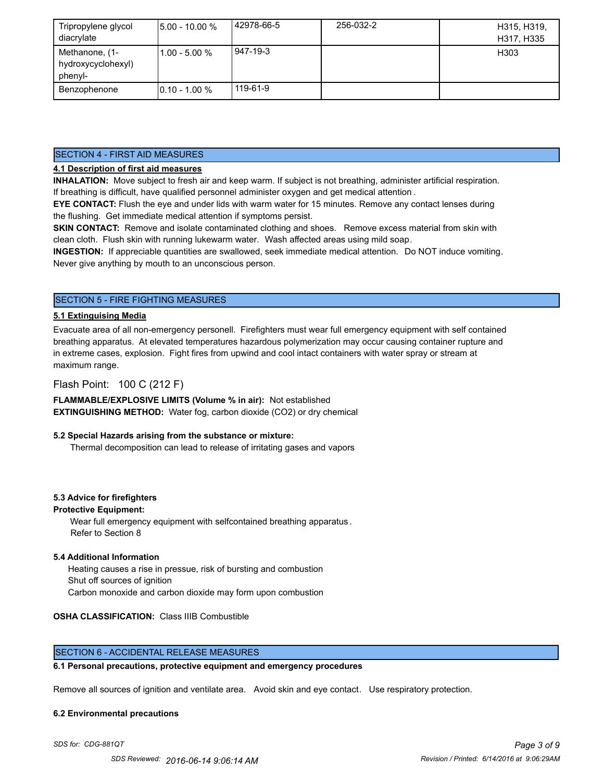| Tripropylene glycol<br>diacrylate               | $15.00 - 10.00 %$ | 42978-66-5 | 256-032-2 | H315, H319,<br>H317, H335 |
|-------------------------------------------------|-------------------|------------|-----------|---------------------------|
| Methanone, (1-<br>hydroxycyclohexyl)<br>phenyl- | l1.00 - 5.00 %    | 947-19-3   |           | H303                      |
| Benzophenone                                    | $10.10 - 1.00 %$  | 119-61-9   |           |                           |

# SECTION 4 - FIRST AID MEASURES

# **4.1 Description of first aid measures**

**INHALATION:** Move subject to fresh air and keep warm. If subject is not breathing, administer artificial respiration. If breathing is difficult, have qualified personnel administer oxygen and get medical attention .

**EYE CONTACT:** Flush the eye and under lids with warm water for 15 minutes. Remove any contact lenses during the flushing. Get immediate medical attention if symptoms persist.

**SKIN CONTACT:** Remove and isolate contaminated clothing and shoes. Remove excess material from skin with clean cloth. Flush skin with running lukewarm water. Wash affected areas using mild soap.

**INGESTION:** If appreciable quantities are swallowed, seek immediate medical attention. Do NOT induce vomiting. Never give anything by mouth to an unconscious person.

# SECTION 5 - FIRE FIGHTING MEASURES

# **5.1 Extinguising Media**

Evacuate area of all non-emergency personell. Firefighters must wear full emergency equipment with self contained breathing apparatus. At elevated temperatures hazardous polymerization may occur causing container rupture and in extreme cases, explosion. Fight fires from upwind and cool intact containers with water spray or stream at maximum range.

# Flash Point: 100 C (212 F)

**FLAMMABLE/EXPLOSIVE LIMITS (Volume % in air):** Not established **EXTINGUISHING METHOD:** Water fog, carbon dioxide (CO2) or dry chemical

# **5.2 Special Hazards arising from the substance or mixture:**

Thermal decomposition can lead to release of irritating gases and vapors

# **5.3 Advice for firefighters**

# **Protective Equipment:**

Wear full emergency equipment with selfcontained breathing apparatus . Refer to Section 8

# **5.4 Additional Information**

 Heating causes a rise in pressue, risk of bursting and combustion Shut off sources of ignition Carbon monoxide and carbon dioxide may form upon combustion

# **OSHA CLASSIFICATION:** Class IIIB Combustible

# SECTION 6 - ACCIDENTAL RELEASE MEASURES

# **6.1 Personal precautions, protective equipment and emergency procedures**

Remove all sources of ignition and ventilate area. Avoid skin and eye contact. Use respiratory protection.

#### **6.2 Environmental precautions**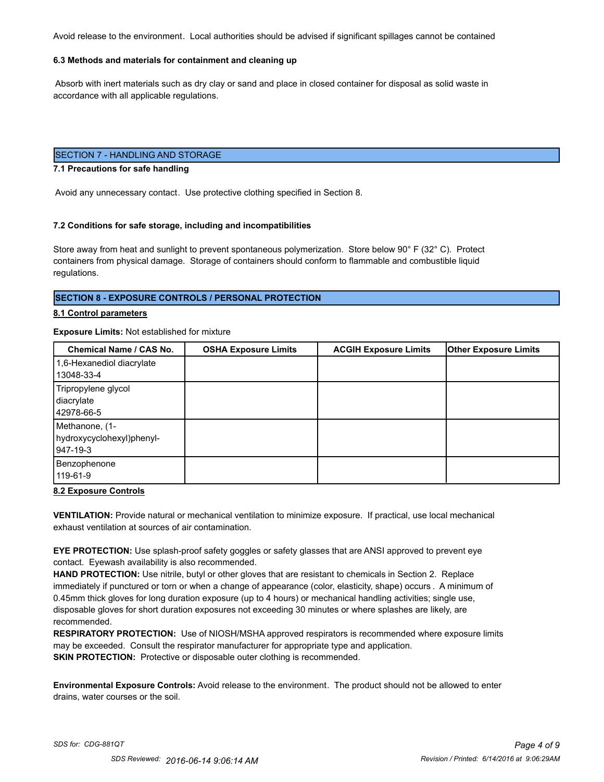Avoid release to the environment. Local authorities should be advised if significant spillages cannot be contained

# **6.3 Methods and materials for containment and cleaning up**

 Absorb with inert materials such as dry clay or sand and place in closed container for disposal as solid waste in accordance with all applicable regulations.

# SECTION 7 - HANDLING AND STORAGE

#### **7.1 Precautions for safe handling**

Avoid any unnecessary contact. Use protective clothing specified in Section 8.

#### **7.2 Conditions for safe storage, including and incompatibilities**

Store away from heat and sunlight to prevent spontaneous polymerization. Store below 90° F (32° C). Protect containers from physical damage. Storage of containers should conform to flammable and combustible liquid regulations.

# **SECTION 8 - EXPOSURE CONTROLS / PERSONAL PROTECTION**

#### **8.1 Control parameters**

#### **Exposure Limits:** Not established for mixture

| Chemical Name / CAS No.   | <b>OSHA Exposure Limits</b> | <b>ACGIH Exposure Limits</b> | <b>Other Exposure Limits</b> |
|---------------------------|-----------------------------|------------------------------|------------------------------|
| 1,6-Hexanediol diacrylate |                             |                              |                              |
| 13048-33-4                |                             |                              |                              |
| Tripropylene glycol       |                             |                              |                              |
| diacrylate                |                             |                              |                              |
| 42978-66-5                |                             |                              |                              |
| Methanone, (1-            |                             |                              |                              |
| hydroxycyclohexyl)phenyl- |                             |                              |                              |
| 947-19-3                  |                             |                              |                              |
| Benzophenone              |                             |                              |                              |
| 119-61-9                  |                             |                              |                              |

#### **8.2 Exposure Controls**

**VENTILATION:** Provide natural or mechanical ventilation to minimize exposure. If practical, use local mechanical exhaust ventilation at sources of air contamination.

**EYE PROTECTION:** Use splash-proof safety goggles or safety glasses that are ANSI approved to prevent eye contact. Eyewash availability is also recommended.

**HAND PROTECTION:** Use nitrile, butyl or other gloves that are resistant to chemicals in Section 2. Replace immediately if punctured or torn or when a change of appearance (color, elasticity, shape) occurs . A minimum of 0.45mm thick gloves for long duration exposure (up to 4 hours) or mechanical handling activities; single use, disposable gloves for short duration exposures not exceeding 30 minutes or where splashes are likely, are recommended.

**RESPIRATORY PROTECTION:** Use of NIOSH/MSHA approved respirators is recommended where exposure limits may be exceeded. Consult the respirator manufacturer for appropriate type and application. **SKIN PROTECTION:** Protective or disposable outer clothing is recommended.

**Environmental Exposure Controls:** Avoid release to the environment. The product should not be allowed to enter drains, water courses or the soil.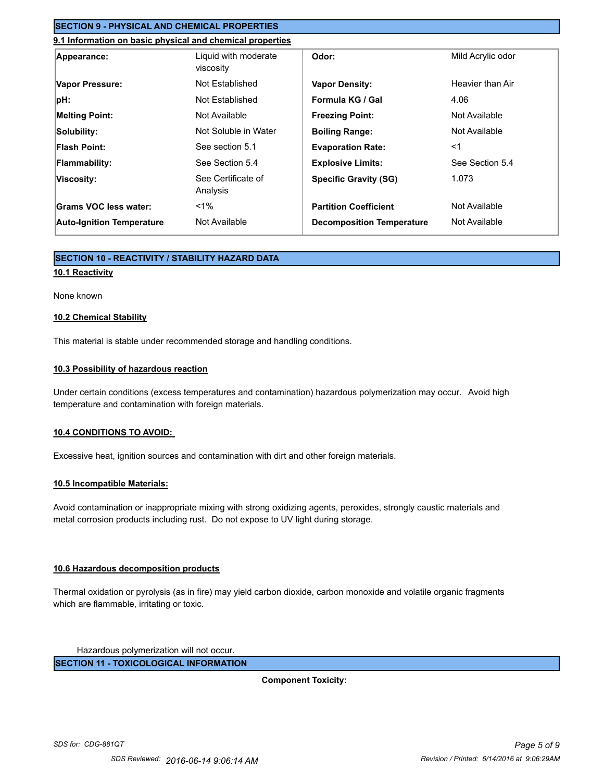# **SECTION 9 - PHYSICAL AND CHEMICAL PROPERTIES**

# **9.1 Information on basic physical and chemical properties**

| Appearance:                      | Liquid with moderate<br>viscosity | Odor:                            | Mild Acrylic odor |
|----------------------------------|-----------------------------------|----------------------------------|-------------------|
| Vapor Pressure:                  | Not Established                   | <b>Vapor Density:</b>            | Heavier than Air  |
| pH:                              | Not Established                   | Formula KG / Gal                 | 4.06              |
| <b>Melting Point:</b>            | Not Available                     | <b>Freezing Point:</b>           | Not Available     |
| Solubility:                      | Not Soluble in Water              | <b>Boiling Range:</b>            | Not Available     |
| <b>Flash Point:</b>              | See section 5.1                   | <b>Evaporation Rate:</b>         | $<$ 1             |
| <b>Flammability:</b>             | See Section 5.4                   | <b>Explosive Limits:</b>         | See Section 5.4   |
| Viscosity:                       | See Certificate of<br>Analysis    | <b>Specific Gravity (SG)</b>     | 1.073             |
| Grams VOC less water:            | $1\%$                             | <b>Partition Coefficient</b>     | Not Available     |
| <b>Auto-Ignition Temperature</b> | Not Available                     | <b>Decomposition Temperature</b> | Not Available     |

# **SECTION 10 - REACTIVITY / STABILITY HAZARD DATA**

# **10.1 Reactivity**

#### None known

# **10.2 Chemical Stability**

This material is stable under recommended storage and handling conditions.

# **10.3 Possibility of hazardous reaction**

Under certain conditions (excess temperatures and contamination) hazardous polymerization may occur. Avoid high temperature and contamination with foreign materials.

# **10.4 CONDITIONS TO AVOID:**

Excessive heat, ignition sources and contamination with dirt and other foreign materials.

# **10.5 Incompatible Materials:**

Avoid contamination or inappropriate mixing with strong oxidizing agents, peroxides, strongly caustic materials and metal corrosion products including rust. Do not expose to UV light during storage.

# **10.6 Hazardous decomposition products**

Thermal oxidation or pyrolysis (as in fire) may yield carbon dioxide, carbon monoxide and volatile organic fragments which are flammable, irritating or toxic.

Hazardous polymerization will not occur.

**SECTION 11 - TOXICOLOGICAL INFORMATION**

**Component Toxicity:**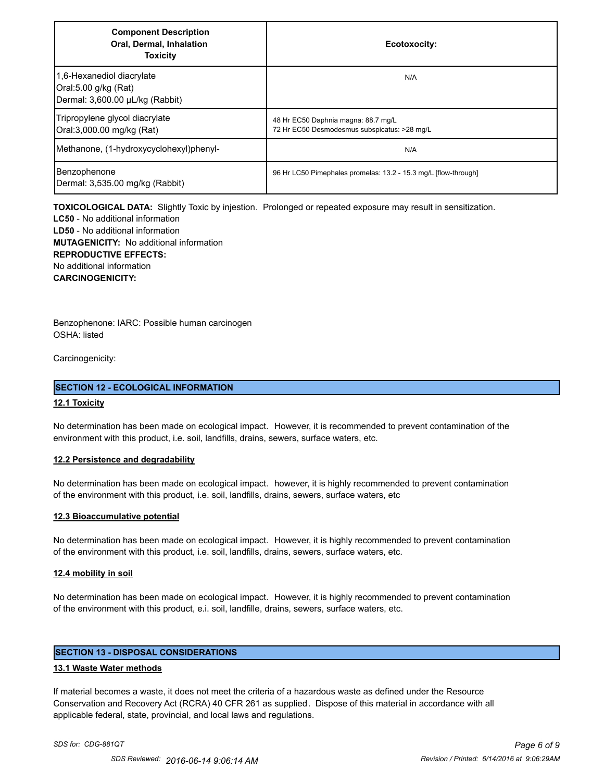| <b>Component Description</b><br>Oral, Dermal, Inhalation<br><b>Toxicity</b>          | Ecotoxocity:                                                                        |
|--------------------------------------------------------------------------------------|-------------------------------------------------------------------------------------|
| 1,6-Hexanediol diacrylate<br>Oral:5.00 g/kg (Rat)<br>Dermal: 3,600.00 µL/kg (Rabbit) | N/A                                                                                 |
| Tripropylene glycol diacrylate<br>Oral:3,000.00 mg/kg (Rat)                          | 48 Hr EC50 Daphnia magna: 88.7 mg/L<br>72 Hr EC50 Desmodesmus subspicatus: >28 mg/L |
| Methanone, (1-hydroxycyclohexyl)phenyl-                                              | N/A                                                                                 |
| Benzophenone<br>Dermal: 3,535.00 mg/kg (Rabbit)                                      | 96 Hr LC50 Pimephales promelas: 13.2 - 15.3 mg/L [flow-through]                     |

**TOXICOLOGICAL DATA:** Slightly Toxic by injestion. Prolonged or repeated exposure may result in sensitization.

**LC50** - No additional information **LD50** - No additional information **MUTAGENICITY:** No additional information **REPRODUCTIVE EFFECTS:** No additional information **CARCINOGENICITY:**

Benzophenone: IARC: Possible human carcinogen OSHA: listed

Carcinogenicity:

# **SECTION 12 - ECOLOGICAL INFORMATION**

# **12.1 Toxicity**

No determination has been made on ecological impact. However, it is recommended to prevent contamination of the environment with this product, i.e. soil, landfills, drains, sewers, surface waters, etc.

# **12.2 Persistence and degradability**

No determination has been made on ecological impact. however, it is highly recommended to prevent contamination of the environment with this product, i.e. soil, landfills, drains, sewers, surface waters, etc

# **12.3 Bioaccumulative potential**

No determination has been made on ecological impact. However, it is highly recommended to prevent contamination of the environment with this product, i.e. soil, landfills, drains, sewers, surface waters, etc.

# **12.4 mobility in soil**

No determination has been made on ecological impact. However, it is highly recommended to prevent contamination of the environment with this product, e.i. soil, landfille, drains, sewers, surface waters, etc.

# **SECTION 13 - DISPOSAL CONSIDERATIONS**

# **13.1 Waste Water methods**

If material becomes a waste, it does not meet the criteria of a hazardous waste as defined under the Resource Conservation and Recovery Act (RCRA) 40 CFR 261 as supplied. Dispose of this material in accordance with all applicable federal, state, provincial, and local laws and regulations.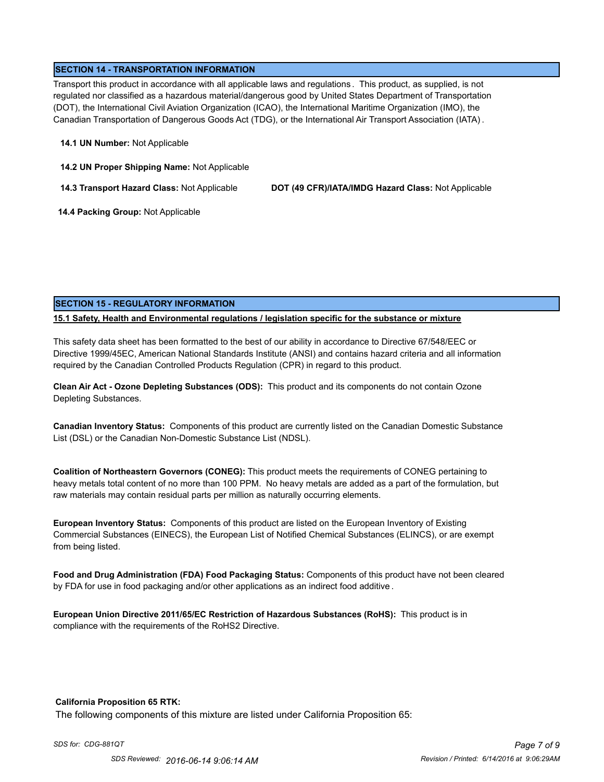# **SECTION 14 - TRANSPORTATION INFORMATION**

Transport this product in accordance with all applicable laws and regulations . This product, as supplied, is not regulated nor classified as a hazardous material/dangerous good by United States Department of Transportation (DOT), the International Civil Aviation Organization (ICAO), the International Maritime Organization (IMO), the Canadian Transportation of Dangerous Goods Act (TDG), or the International Air Transport Association (IATA) .

### **14.1 UN Number:** Not Applicable

**14.2 UN Proper Shipping Name:** Not Applicable

**14.3 Transport Hazard Class:** Not Applicable **DOT (49 CFR)/IATA/IMDG Hazard Class:** Not Applicable

 **14.4 Packing Group:** Not Applicable

# **SECTION 15 - REGULATORY INFORMATION**

# **15.1 Safety, Health and Environmental regulations / legislation specific for the substance or mixture**

This safety data sheet has been formatted to the best of our ability in accordance to Directive 67/548/EEC or Directive 1999/45EC, American National Standards Institute (ANSI) and contains hazard criteria and all information required by the Canadian Controlled Products Regulation (CPR) in regard to this product.

**Clean Air Act - Ozone Depleting Substances (ODS):** This product and its components do not contain Ozone Depleting Substances.

**Canadian Inventory Status:** Components of this product are currently listed on the Canadian Domestic Substance List (DSL) or the Canadian Non-Domestic Substance List (NDSL).

**Coalition of Northeastern Governors (CONEG):** This product meets the requirements of CONEG pertaining to heavy metals total content of no more than 100 PPM. No heavy metals are added as a part of the formulation, but raw materials may contain residual parts per million as naturally occurring elements.

**European Inventory Status:** Components of this product are listed on the European Inventory of Existing Commercial Substances (EINECS), the European List of Notified Chemical Substances (ELINCS), or are exempt from being listed.

**Food and Drug Administration (FDA) Food Packaging Status:** Components of this product have not been cleared by FDA for use in food packaging and/or other applications as an indirect food additive .

**European Union Directive 2011/65/EC Restriction of Hazardous Substances (RoHS):** This product is in compliance with the requirements of the RoHS2 Directive.

# **California Proposition 65 RTK:**

The following components of this mixture are listed under California Proposition 65: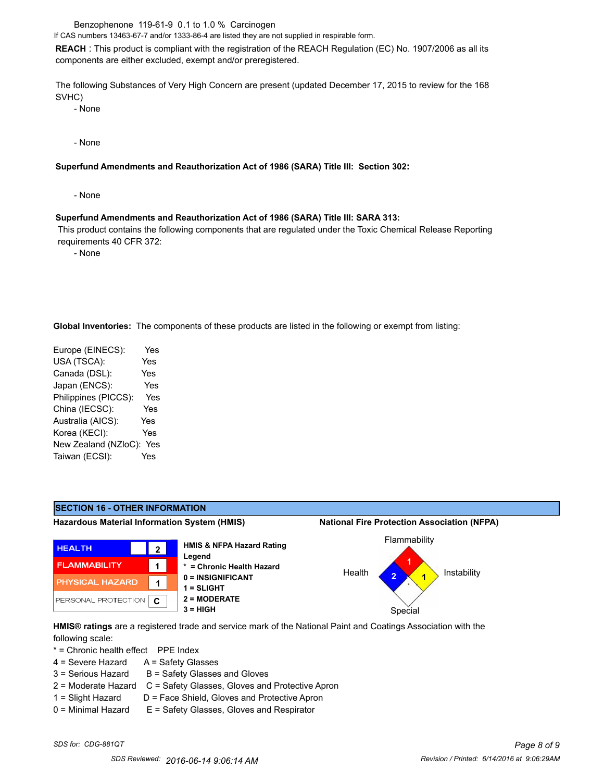Benzophenone 119-61-9 0.1 to 1.0 % Carcinogen

If CAS numbers 13463-67-7 and/or 1333-86-4 are listed they are not supplied in respirable form.

**REACH** : This product is compliant with the registration of the REACH Regulation (EC) No. 1907/2006 as all its components are either excluded, exempt and/or preregistered.

The following Substances of Very High Concern are present (updated December 17, 2015 to review for the 168 SVHC)

- None

- None

### **Superfund Amendments and Reauthorization Act of 1986 (SARA) Title III: Section 302:**

- None

#### **Superfund Amendments and Reauthorization Act of 1986 (SARA) Title III: SARA 313:**

 This product contains the following components that are regulated under the Toxic Chemical Release Reporting requirements 40 CFR 372:

- None

**Global Inventories:** The components of these products are listed in the following or exempt from listing:

| Europe (EINECS):     | Yes        |
|----------------------|------------|
| USA (TSCA):          | Yes        |
| Canada (DSL):        | <b>Yes</b> |
| Japan (ENCS):        | Yes        |
| Philippines (PICCS): | Yes        |
| China (IECSC):       | Yes        |
| Australia (AICS):    | Yes        |
| Korea (KECI):        | Yes        |
| New Zealand (NZloC): | Yes        |
| Taiwan (ECSI):       | Yes        |
|                      |            |



**HMIS® ratings** are a registered trade and service mark of the National Paint and Coatings Association with the following scale:

\* = Chronic health effect PPE Index

- 4 = Severe Hazard A = Safety Glasses
- $3 =$  Serious Hazard  $B =$  Safety Glasses and Gloves
- 2 = Moderate Hazard C = Safety Glasses, Gloves and Protective Apron
- $1 =$  Slight Hazard  $D =$  Face Shield, Gloves and Protective Apron
- 0 = Minimal Hazard E = Safety Glasses, Gloves and Respirator
-